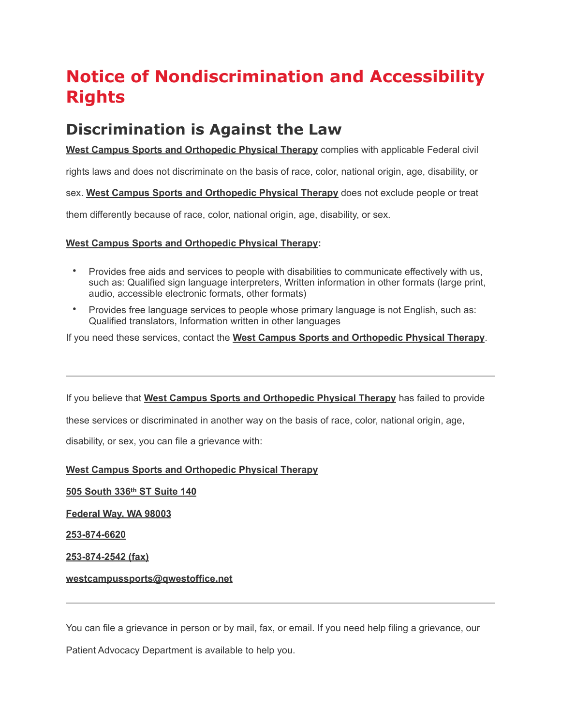# **Notice of Nondiscrimination and Accessibility Rights**

# **Discrimination is Against the Law**

**West Campus Sports and Orthopedic Physical Therapy** complies with applicable Federal civil

rights laws and does not discriminate on the basis of race, color, national origin, age, disability, or

sex. **West Campus Sports and Orthopedic Physical Therapy** does not exclude people or treat

them differently because of race, color, national origin, age, disability, or sex.

#### **West Campus Sports and Orthopedic Physical Therapy:**

- Provides free aids and services to people with disabilities to communicate effectively with us, such as: Qualified sign language interpreters, Written information in other formats (large print, audio, accessible electronic formats, other formats)
- Provides free language services to people whose primary language is not English, such as: Qualified translators, Information written in other languages

If you need these services, contact the **West Campus Sports and Orthopedic Physical Therapy**.

If you believe that **West Campus Sports and Orthopedic Physical Therapy** has failed to provide

these services or discriminated in another way on the basis of race, color, national origin, age,

disability, or sex, you can file a grievance with:

## **West Campus Sports and Orthopedic Physical Therapy**

**505 South 336th ST Suite 140**

**Federal Way, WA 98003**

**253-874-6620**

**253-874-2542 (fax)**

#### **westcampussports@qwestoffice.net**

You can file a grievance in person or by mail, fax, or email. If you need help filing a grievance, our

Patient Advocacy Department is available to help you.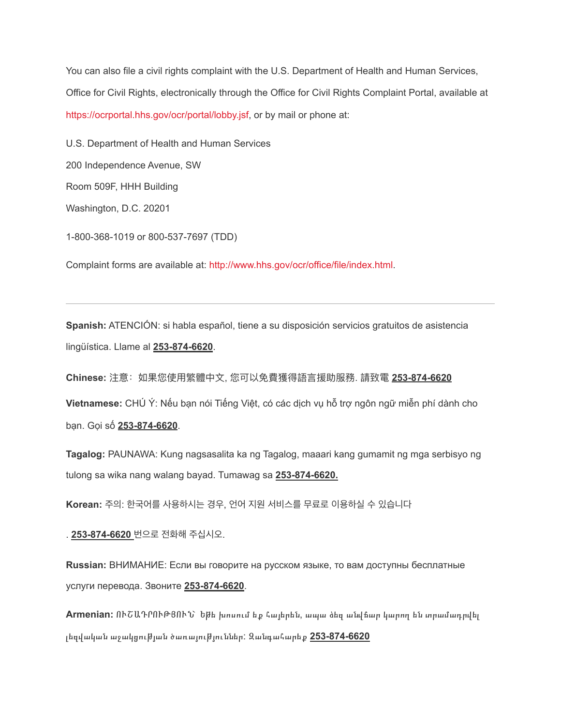You can also file a civil rights complaint with the U.S. Department of Health and Human Services, Office for Civil Rights, electronically through the Office for Civil Rights Complaint Portal, available at <https://ocrportal.hhs.gov/ocr/portal/lobby.jsf>, or by mail or phone at:

U.S. Department of Health and Human Services 200 Independence Avenue, SW Room 509F, HHH Building Washington, D.C. 20201 1-800-368-1019 or 800-537-7697 (TDD)

Complaint forms are available at: [http://www.hhs.gov/ocr/office/file/index.html.](http://www.hhs.gov/ocr/office/file/index.html)

**Spanish:** ATENCIÓN: si habla español, tiene a su disposición servicios gratuitos de asistencia lingüística. Llame al **253-874-6620**.

**Chinese:** 注意:如果您使⽤繁體中⽂, 您可以免費獲得語⾔援助服務. 請致電 **253-874-6620** 

**Vietnamese:** CHÚ Ý: Nếu bạn nói Tiếng Việt, có các dịch vụ hỗ trợ ngôn ngữ miễn phí dành cho bạn. Gọi số **253-874-6620**.

**Tagalog:** PAUNAWA: Kung nagsasalita ka ng Tagalog, maaari kang gumamit ng mga serbisyo ng tulong sa wika nang walang bayad. Tumawag sa **253-874-6620.** 

**Korean:** 주의: 한국어를 사용하시는 경우, 언어 지원 서비스를 무료로 이용하실 수 있습니다

. **253-874-6620** 번으로 전화해 주십시오.

**Russian:** ВНИМАНИЕ: Если вы говорите на русском языке, то вам доступны бесплатные услуги перевода. Звоните **253-874-6620**.

**Armenian:** ՈՒՇԱԴՐՈՒԹՅՈՒՆ՝ Եթե խոսում եք հայերեն, ապա ձեզ անվճար կարող են տրամադրվել լեզվական աջակցու**թյան ծառայություններ: Զանգա**հարեք 253-874-6620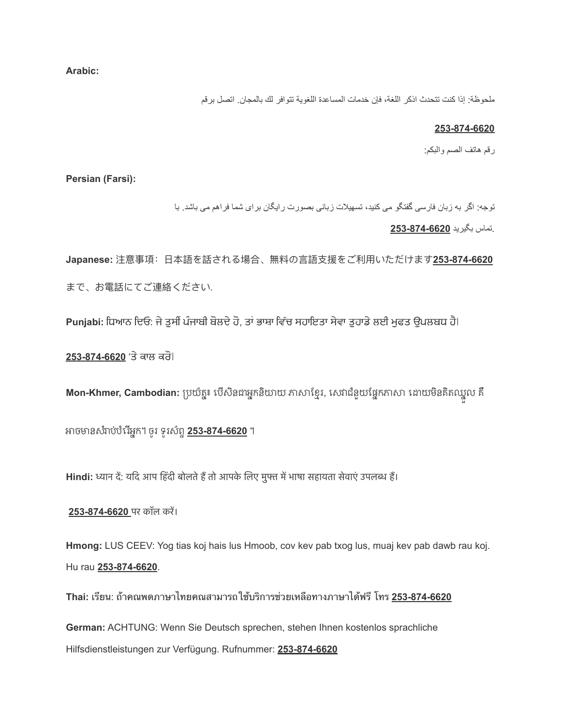**Arabic:**

ملحوظة: إذا كنت تتحدث اذكر اللغة، فإن خدمات المساعدة اللغویة تتوافر لك بالمجان. اتصل برقم

#### **253-874-6620**

رقم ھاتف الصم والبكم:

**Persian (Farsi):**

توجھ: اگر بھ زبان فارسی گفتگو می کنید، تسھیلات زبانی بصورت رایگان برای شما فراھم می باشد. با

.تماس بگیرید **253-874-6620**

**Japanese: 注意事項: 日本語を話される場合、無料の言語支援をご利用いただけます253-874-6620** まで、お電話にてご連絡ください.

**Punjabi:** ਧਿਆਨ ਦਿਓ: ਜੇ ਤਸੀਂ ਪੰਜਾਬੀ ਬੋਲਦੇ ਹੋ, ਤਾਂ ਭਾਸ਼ਾ ਵਿੱਚ ਸਹਾਇਤਾ ਸੇਵਾ ਤਹਾਡੇ ਲਈ ਮਫਤ ਉਪਲਬਧ ਹੈ।

253-874-6620 'ਤੇ ਕਾਲ ਕਰੋ।

**Mon-Khmer, Cambodian:** ប្រយំត្ន៖ បើសិនជាអ្នកនិយាយ ភាសាខ្មែរ, សេវាជំនួយផ្នែកភាសា ដោយមិនគិតឈ្នួល គឺ

អាចមានសំរាប់ឋំរើអ្នក។ ចូរ ទូរសំពូ 253-874-6620 ។

Hindi: ध्यान दें: यदि आप हिंदी बोलते हैं तो आपके लिए मुफ्त में भाषा सहायता सेवाएं उपलब्ध हैं।

**253-874-6620** पर कॉल करे।

**Hmong:** LUS CEEV: Yog tias koj hais lus Hmoob, cov kev pab txog lus, muaj kev pab dawb rau koj. Hu rau **253-874-6620**.

**Thai:** เรยน: ถาคณพดภาษาไทยคณสามารถใชบรการชวยเหลอทางภาษาไดฟร โทร **253-874-6620** 

**German:** ACHTUNG: Wenn Sie Deutsch sprechen, stehen Ihnen kostenlos sprachliche Hilfsdienstleistungen zur Verfügung. Rufnummer: **253-874-6620**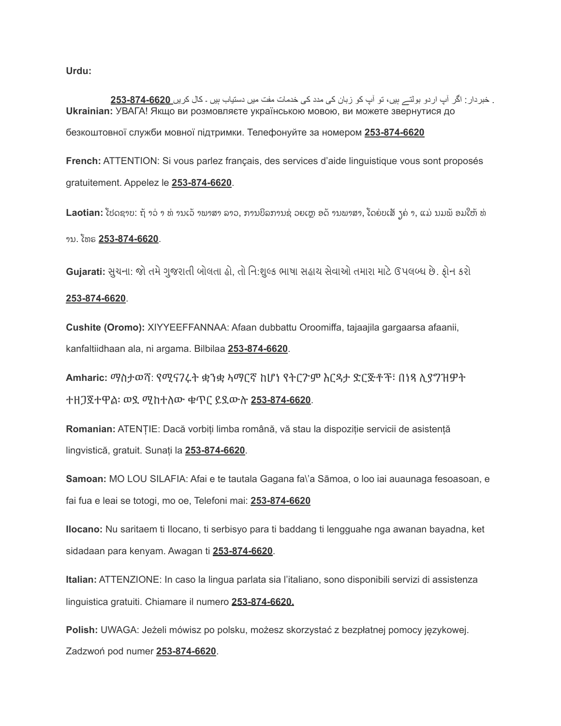**Urdu:**

. خبردار: اگر آپ اردو بولتے ہیں، تو آپ کو زبان کی مدد کی خدمات مفت میں دستیاب ہیں ۔ کال کریں **253-874-6620 Ukrainian:** УВАГА! Якщо ви розмовляєте українською мовою, ви можете звернутися до безкоштовної служби мовної підтримки. Телефонуйте за номером **253-874-6620** 

**French:** ATTENTION: Si vous parlez français, des services d'aide linguistique vous sont proposés gratuitement. Appelez le **253-874-6620**.

Laotian: ໂປດຊາບ: ຖ້ າວ່ າ ທ່ ານເວ້ າພາສາ ລາວ, ການບິລການຊ່ ວຍເຫຼ ອດ້ ານພາສາ, ໂດຍ່ບເສັ ງຄ່ າ, ແມ່ ນມພ້ ອມໃຫ້ ທ່

## ານ. ໂທຣ **253-874-6620**.

Gujarati: સુચના: જો તમે ગુજરાતી બોલતા હો, તો નિ:શુલ્ક ભાષા સહાય સેવાઓ તમારા માટે ઉપલબ્ધ છે. ફોન કરો

#### **253-874-6620**.

**Cushite (Oromo):** XIYYEEFFANNAA: Afaan dubbattu Oroomiffa, tajaajila gargaarsa afaanii, kanfaltiidhaan ala, ni argama. Bilbilaa **253-874-6620**.

**Amharic:** ማስታወሻ: የሚናገሩት ቋንቋ ኣማርኛ ከሆነ የትርጉም እርዳታ ድርጅቶች፣ በነጻ ሊያግዝዎት ተዘጋጀተዋል፡ ወደ ሚከተለው ቁጥር ይደውሉ **253-874-6620**.

**Romanian:** ATENȚIE: Dacă vorbiți limba română, vă stau la dispoziție servicii de asistență lingvistică, gratuit. Sunați la **253-874-6620**.

**Samoan:** MO LOU SILAFIA: Afai e te tautala Gagana fa\'a Sāmoa, o loo iai auaunaga fesoasoan, e fai fua e leai se totogi, mo oe, Telefoni mai: **253-874-6620** 

**Ilocano:** Nu saritaem ti Ilocano, ti serbisyo para ti baddang ti lengguahe nga awanan bayadna, ket sidadaan para kenyam. Awagan ti **253-874-6620**.

**Italian:** ATTENZIONE: In caso la lingua parlata sia l'italiano, sono disponibili servizi di assistenza linguistica gratuiti. Chiamare il numero **253-874-6620.** 

**Polish:** UWAGA: Jeżeli mówisz po polsku, możesz skorzystać z bezpłatnej pomocy językowej. Zadzwoń pod numer **253-874-6620**.